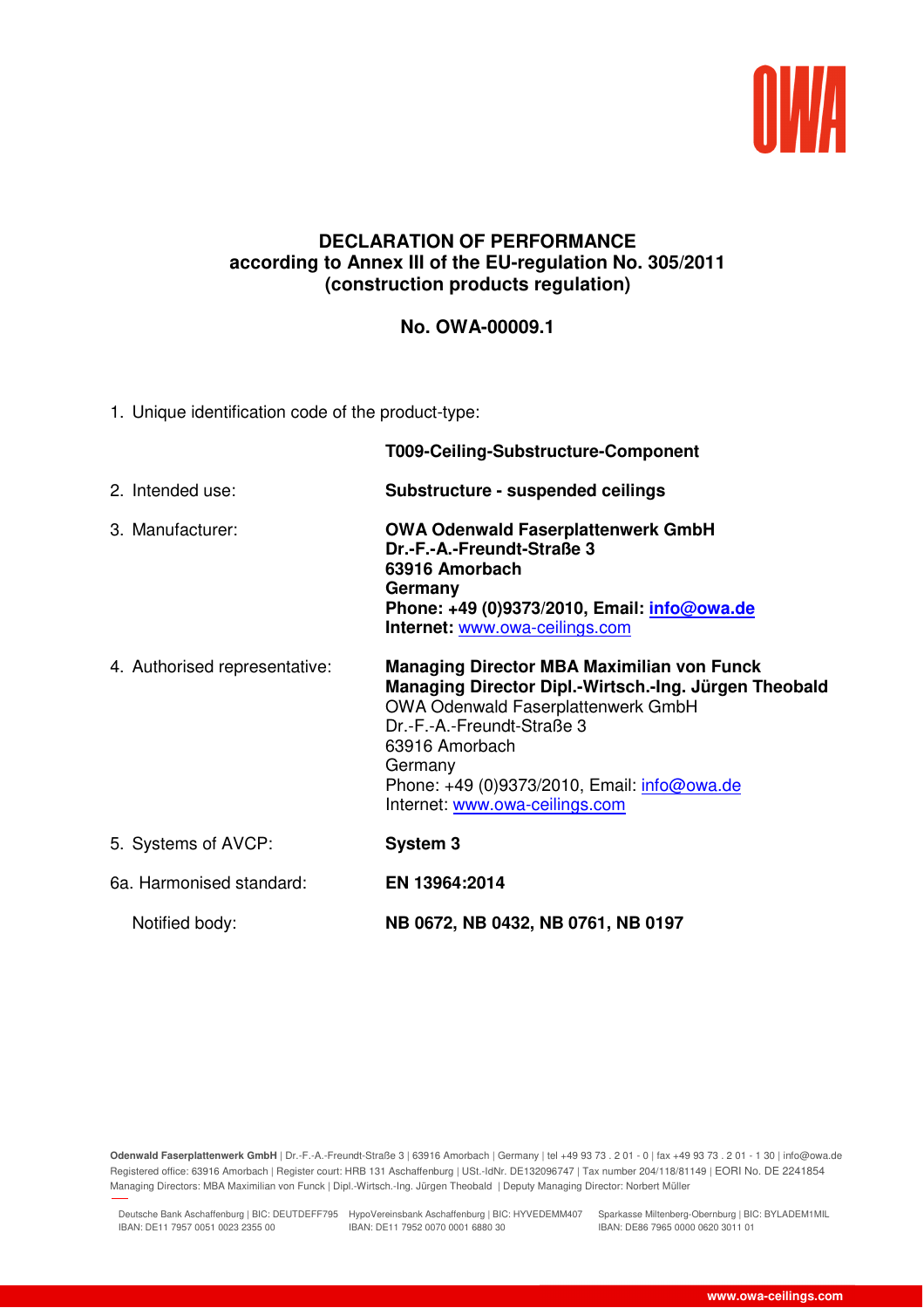

## **DECLARATION OF PERFORMANCE according to Annex III of the EU-regulation No. 305/2011 (construction products regulation)**

## **No. OWA-00009.1**

1. Unique identification code of the product-type:

|                               | T009-Ceiling-Substructure-Component                                                                                                                                                                                                                                                          |  |
|-------------------------------|----------------------------------------------------------------------------------------------------------------------------------------------------------------------------------------------------------------------------------------------------------------------------------------------|--|
| 2. Intended use:              | Substructure - suspended ceilings                                                                                                                                                                                                                                                            |  |
| 3. Manufacturer:              | <b>OWA Odenwald Faserplattenwerk GmbH</b><br>Dr.-F.-A.-Freundt-Straße 3<br>63916 Amorbach<br>Germany<br>Phone: +49 (0)9373/2010, Email: <i>info@owa.de</i><br>Internet: www.owa-ceilings.com                                                                                                 |  |
| 4. Authorised representative: | <b>Managing Director MBA Maximilian von Funck</b><br>Managing Director Dipl.-Wirtsch.-Ing. Jürgen Theobald<br>OWA Odenwald Faserplattenwerk GmbH<br>Dr.-F.-A.-Freundt-Straße 3<br>63916 Amorbach<br>Germany<br>Phone: +49 (0)9373/2010, Email: info@owa.de<br>Internet: www.owa-ceilings.com |  |
| 5. Systems of AVCP:           | System 3                                                                                                                                                                                                                                                                                     |  |
| 6a. Harmonised standard:      | EN 13964:2014                                                                                                                                                                                                                                                                                |  |
| Notified body:                | NB 0672, NB 0432, NB 0761, NB 0197                                                                                                                                                                                                                                                           |  |

**Odenwald Faserplattenwerk GmbH** | Dr.-F.-A.-Freundt-Straße 3 | 63916 Amorbach | Germany | tel +49 93 73 . 2 01 - 0 | fax +49 93 73 . 2 01 - 1 30 | info@owa.de Registered office: 63916 Amorbach | Register court: HRB 131 Aschaffenburg | USt.-IdNr. DE132096747 | Tax number 204/118/81149 | EORI No. DE 2241854 Managing Directors: MBA Maximilian von Funck | Dipl.-Wirtsch.-Ing. Jürgen Theobald | Deputy Managing Director: Norbert Müller

Deutsche Bank Aschaffenburg | BIC: DEUTDEFF795 HypoVereinsbank Aschaffenburg | BIC: HYVEDEMM407 Sparkasse Miltenberg-Obernburg | BIC: BYLADEM1MIL IBAN: DE11 7957 0051 0023 2355 00 IBAN: DE11 7952 0070 0001 6880 30

27.11.2018 11:41

IBAN: DE86 7965 0000 0620 3011 01